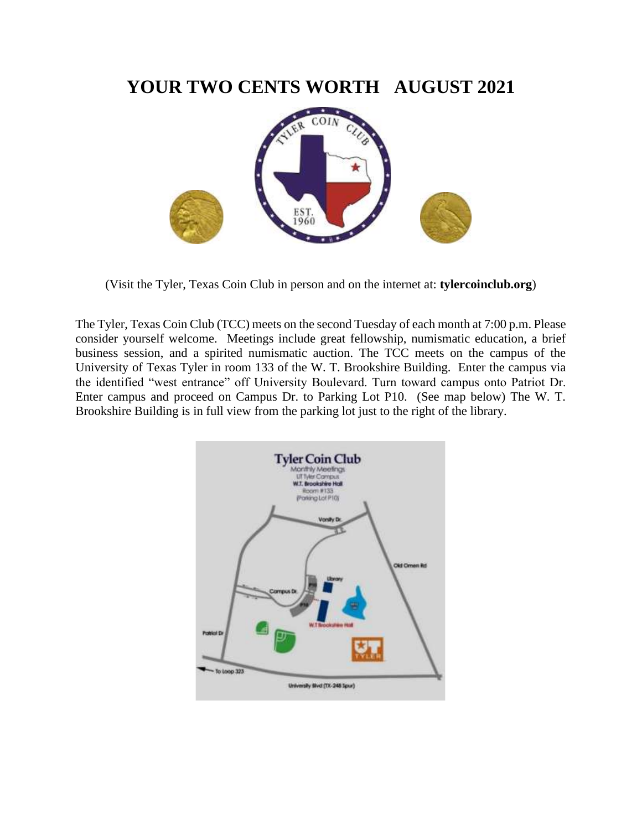## **YOUR TWO CENTS WORTH AUGUST 2021**



(Visit the Tyler, Texas Coin Club in person and on the internet at: **tylercoinclub.org**)

The Tyler, Texas Coin Club (TCC) meets on the second Tuesday of each month at 7:00 p.m. Please consider yourself welcome. Meetings include great fellowship, numismatic education, a brief business session, and a spirited numismatic auction. The TCC meets on the campus of the University of Texas Tyler in room 133 of the W. T. Brookshire Building. Enter the campus via the identified "west entrance" off University Boulevard. Turn toward campus onto Patriot Dr. Enter campus and proceed on Campus Dr. to Parking Lot P10. (See map below) The W. T. Brookshire Building is in full view from the parking lot just to the right of the library.

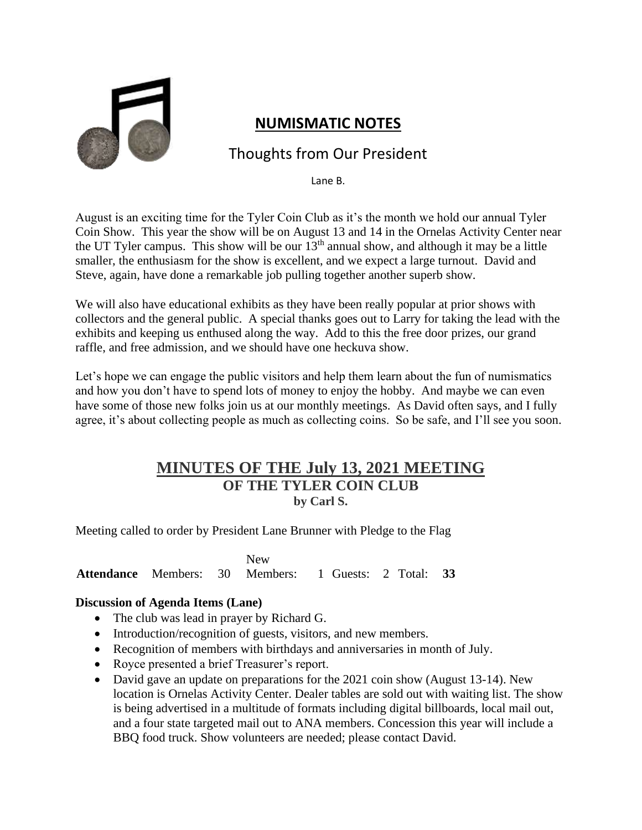

### **NUMISMATIC NOTES**

### Thoughts from Our President

Lane B.

August is an exciting time for the Tyler Coin Club as it's the month we hold our annual Tyler Coin Show. This year the show will be on August 13 and 14 in the Ornelas Activity Center near the UT Tyler campus. This show will be our  $13<sup>th</sup>$  annual show, and although it may be a little smaller, the enthusiasm for the show is excellent, and we expect a large turnout. David and Steve, again, have done a remarkable job pulling together another superb show.

We will also have educational exhibits as they have been really popular at prior shows with collectors and the general public. A special thanks goes out to Larry for taking the lead with the exhibits and keeping us enthused along the way. Add to this the free door prizes, our grand raffle, and free admission, and we should have one heckuva show.

Let's hope we can engage the public visitors and help them learn about the fun of numismatics and how you don't have to spend lots of money to enjoy the hobby. And maybe we can even have some of those new folks join us at our monthly meetings. As David often says, and I fully agree, it's about collecting people as much as collecting coins. So be safe, and I'll see you soon.

#### **MINUTES OF THE July 13, 2021 MEETING OF THE TYLER COIN CLUB by Carl S.**

Meeting called to order by President Lane Brunner with Pledge to the Flag

**Attendance** Members: 30 New Members: 1 Guests: 2 Total: **33**

#### **Discussion of Agenda Items (Lane)**

- The club was lead in prayer by Richard G.
- Introduction/recognition of guests, visitors, and new members.
- Recognition of members with birthdays and anniversaries in month of July.
- Royce presented a brief Treasurer's report.
- David gave an update on preparations for the 2021 coin show (August 13-14). New location is Ornelas Activity Center. Dealer tables are sold out with waiting list. The show is being advertised in a multitude of formats including digital billboards, local mail out, and a four state targeted mail out to ANA members. Concession this year will include a BBQ food truck. Show volunteers are needed; please contact David.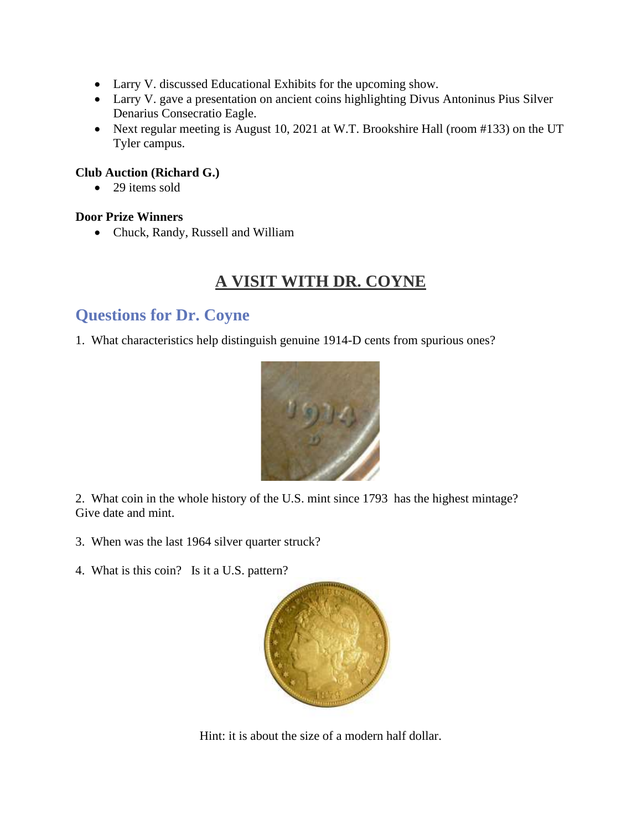- Larry V. discussed Educational Exhibits for the upcoming show.
- Larry V. gave a presentation on ancient coins highlighting Divus Antoninus Pius Silver Denarius Consecratio Eagle.
- Next regular meeting is August 10, 2021 at W.T. Brookshire Hall (room #133) on the UT Tyler campus.

#### **Club Auction (Richard G.)**

• 29 items sold

#### **Door Prize Winners**

• Chuck, Randy, Russell and William

# **A VISIT WITH DR. COYNE**

### **Questions for Dr. Coyne**

1. What characteristics help distinguish genuine 1914-D cents from spurious ones?



2. What coin in the whole history of the U.S. mint since 1793 has the highest mintage? Give date and mint.

- 3. When was the last 1964 silver quarter struck?
- 4. What is this coin? Is it a U.S. pattern?



Hint: it is about the size of a modern half dollar.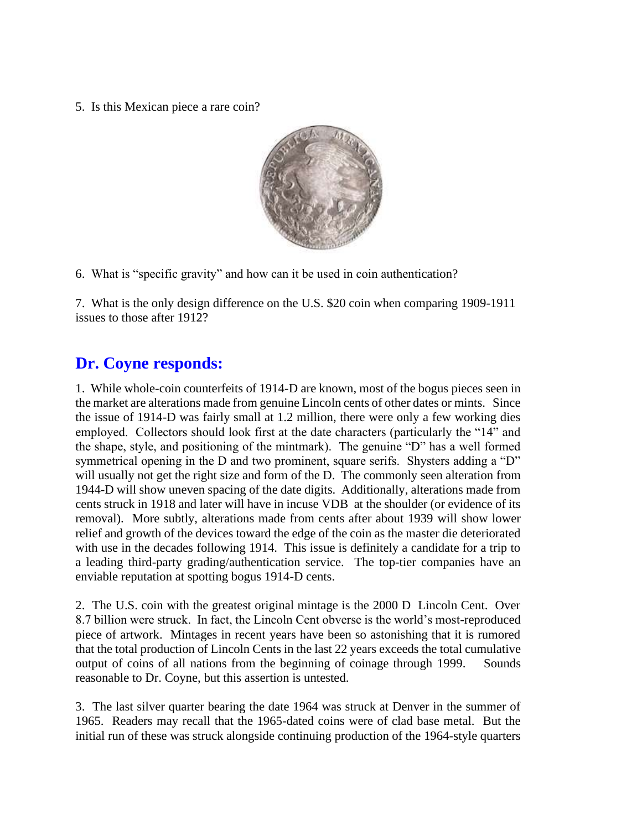5. Is this Mexican piece a rare coin?



6. What is "specific gravity" and how can it be used in coin authentication?

7. What is the only design difference on the U.S. \$20 coin when comparing 1909-1911 issues to those after 1912?

## **Dr. Coyne responds:**

1. While whole-coin counterfeits of 1914-D are known, most of the bogus pieces seen in the market are alterations made from genuine Lincoln cents of other dates or mints. Since the issue of 1914-D was fairly small at 1.2 million, there were only a few working dies employed. Collectors should look first at the date characters (particularly the "14" and the shape, style, and positioning of the mintmark). The genuine "D" has a well formed symmetrical opening in the D and two prominent, square serifs. Shysters adding a "D" will usually not get the right size and form of the D. The commonly seen alteration from 1944-D will show uneven spacing of the date digits. Additionally, alterations made from cents struck in 1918 and later will have in incuse VDB at the shoulder (or evidence of its removal). More subtly, alterations made from cents after about 1939 will show lower relief and growth of the devices toward the edge of the coin as the master die deteriorated with use in the decades following 1914. This issue is definitely a candidate for a trip to a leading third-party grading/authentication service. The top-tier companies have an enviable reputation at spotting bogus 1914-D cents.

2. The U.S. coin with the greatest original mintage is the 2000 D Lincoln Cent. Over 8.7 billion were struck. In fact, the Lincoln Cent obverse is the world's most-reproduced piece of artwork. Mintages in recent years have been so astonishing that it is rumored that the total production of Lincoln Cents in the last 22 years exceeds the total cumulative output of coins of all nations from the beginning of coinage through 1999. Sounds reasonable to Dr. Coyne, but this assertion is untested.

3. The last silver quarter bearing the date 1964 was struck at Denver in the summer of 1965. Readers may recall that the 1965-dated coins were of clad base metal. But the initial run of these was struck alongside continuing production of the 1964-style quarters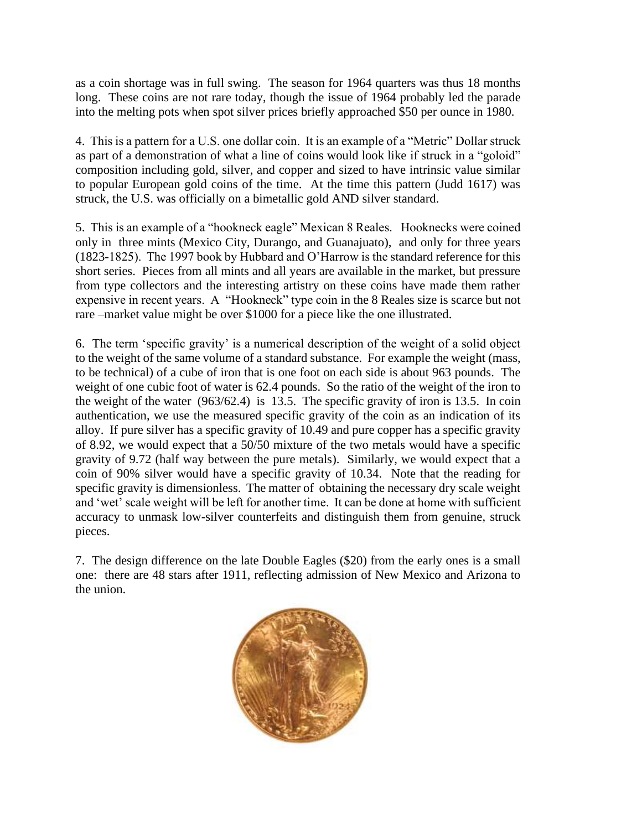as a coin shortage was in full swing. The season for 1964 quarters was thus 18 months long. These coins are not rare today, though the issue of 1964 probably led the parade into the melting pots when spot silver prices briefly approached \$50 per ounce in 1980.

4. This is a pattern for a U.S. one dollar coin. It is an example of a "Metric" Dollar struck as part of a demonstration of what a line of coins would look like if struck in a "goloid" composition including gold, silver, and copper and sized to have intrinsic value similar to popular European gold coins of the time. At the time this pattern (Judd 1617) was struck, the U.S. was officially on a bimetallic gold AND silver standard.

5. This is an example of a "hookneck eagle" Mexican 8 Reales. Hooknecks were coined only in three mints (Mexico City, Durango, and Guanajuato), and only for three years (1823-1825). The 1997 book by Hubbard and O'Harrow is the standard reference for this short series. Pieces from all mints and all years are available in the market, but pressure from type collectors and the interesting artistry on these coins have made them rather expensive in recent years. A "Hookneck" type coin in the 8 Reales size is scarce but not rare –market value might be over \$1000 for a piece like the one illustrated.

6. The term 'specific gravity' is a numerical description of the weight of a solid object to the weight of the same volume of a standard substance. For example the weight (mass, to be technical) of a cube of iron that is one foot on each side is about 963 pounds. The weight of one cubic foot of water is 62.4 pounds. So the ratio of the weight of the iron to the weight of the water (963/62.4) is 13.5. The specific gravity of iron is 13.5. In coin authentication, we use the measured specific gravity of the coin as an indication of its alloy. If pure silver has a specific gravity of 10.49 and pure copper has a specific gravity of 8.92, we would expect that a 50/50 mixture of the two metals would have a specific gravity of 9.72 (half way between the pure metals). Similarly, we would expect that a coin of 90% silver would have a specific gravity of 10.34. Note that the reading for specific gravity is dimensionless. The matter of obtaining the necessary dry scale weight and 'wet' scale weight will be left for another time. It can be done at home with sufficient accuracy to unmask low-silver counterfeits and distinguish them from genuine, struck pieces.

7. The design difference on the late Double Eagles (\$20) from the early ones is a small one: there are 48 stars after 1911, reflecting admission of New Mexico and Arizona to the union.

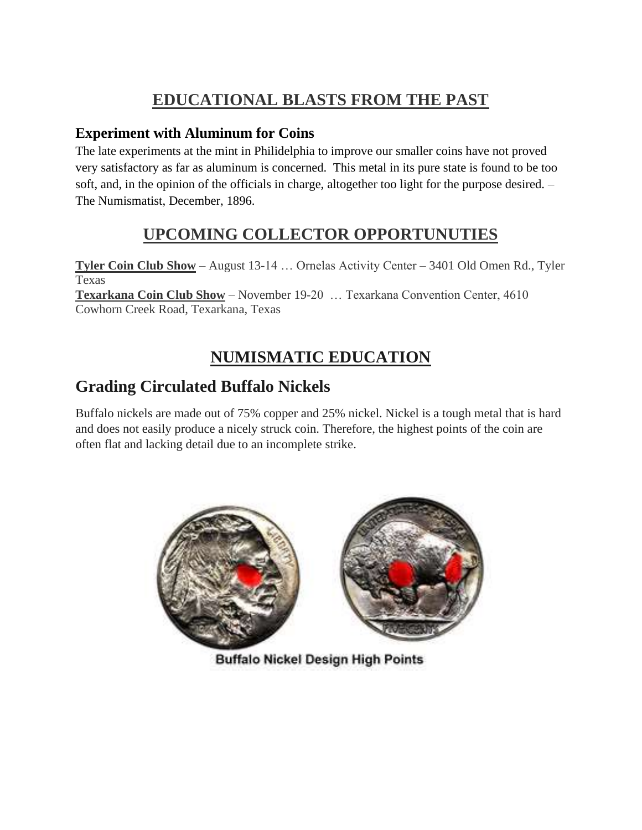# **EDUCATIONAL BLASTS FROM THE PAST**

#### **Experiment with Aluminum for Coins**

The late experiments at the mint in Philidelphia to improve our smaller coins have not proved very satisfactory as far as aluminum is concerned. This metal in its pure state is found to be too soft, and, in the opinion of the officials in charge, altogether too light for the purpose desired. – The Numismatist, December, 1896.

## **UPCOMING COLLECTOR OPPORTUNUTIES**

**Tyler Coin Club Show** – August 13-14 … Ornelas Activity Center – 3401 Old Omen Rd., Tyler Texas **Texarkana Coin Club Show** – November 19-20 … Texarkana Convention Center, 4610 Cowhorn Creek Road, Texarkana, Texas

# **NUMISMATIC EDUCATION**

## **Grading Circulated Buffalo Nickels**

Buffalo nickels are made out of 75% copper and 25% nickel. Nickel is a tough metal that is hard and does not easily produce a nicely struck coin. Therefore, the highest points of the coin are often flat and lacking detail due to an incomplete strike.



**Buffalo Nickel Design High Points**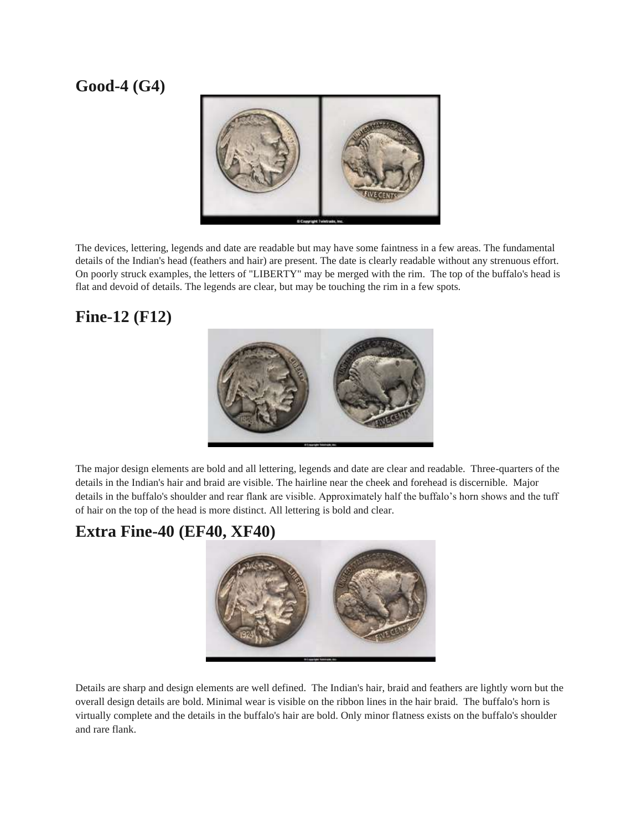## **Good-4 (G4)**



The devices, lettering, legends and date are readable but may have some faintness in a few areas. The fundamental details of the Indian's head (feathers and hair) are present. The date is clearly readable without any strenuous effort. On poorly struck examples, the letters of "LIBERTY" may be merged with the rim. The top of the buffalo's head is flat and devoid of details. The legends are clear, but may be touching the rim in a few spots.

## **Fine-12 (F12)**



The major design elements are bold and all lettering, legends and date are clear and readable. Three-quarters of the details in the Indian's hair and braid are visible. The hairline near the cheek and forehead is discernible. Major details in the buffalo's shoulder and rear flank are visible. Approximately half the buffalo's horn shows and the tuff of hair on the top of the head is more distinct. All lettering is bold and clear.

## **Extra Fine-40 (EF40, XF40)**



Details are sharp and design elements are well defined. The Indian's hair, braid and feathers are lightly worn but the overall design details are bold. Minimal wear is visible on the ribbon lines in the hair braid. The buffalo's horn is virtually complete and the details in the buffalo's hair are bold. Only minor flatness exists on the buffalo's shoulder and rare flank.